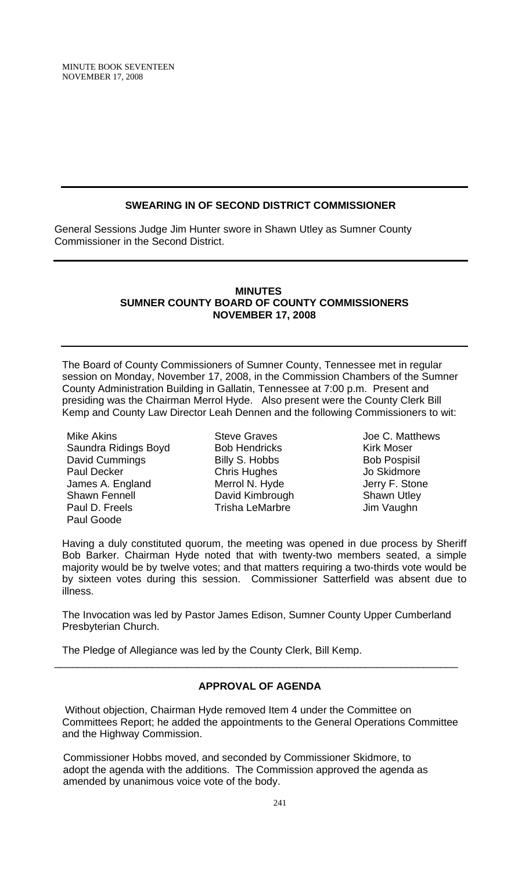## **SWEARING IN OF SECOND DISTRICT COMMISSIONER**

General Sessions Judge Jim Hunter swore in Shawn Utley as Sumner County Commissioner in the Second District.

## **MINUTES SUMNER COUNTY BOARD OF COUNTY COMMISSIONERS NOVEMBER 17, 2008**

The Board of County Commissioners of Sumner County, Tennessee met in regular session on Monday, November 17, 2008, in the Commission Chambers of the Sumner County Administration Building in Gallatin, Tennessee at 7:00 p.m. Present and presiding was the Chairman Merrol Hyde. Also present were the County Clerk Bill Kemp and County Law Director Leah Dennen and the following Commissioners to wit:

Mike Akins Saundra Ridings Boyd David Cummings Paul Decker James A. England Shawn Fennell Paul D. Freels Paul Goode

Steve Graves Bob Hendricks Billy S. Hobbs Chris Hughes Merrol N. Hyde David Kimbrough Trisha LeMarbre

Joe C. Matthews Kirk Moser Bob Pospisil Jo Skidmore Jerry F. Stone Shawn Utley Jim Vaughn

Having a duly constituted quorum, the meeting was opened in due process by Sheriff Bob Barker. Chairman Hyde noted that with twenty-two members seated, a simple majority would be by twelve votes; and that matters requiring a two-thirds vote would be by sixteen votes during this session. Commissioner Satterfield was absent due to illness.

The Invocation was led by Pastor James Edison, Sumner County Upper Cumberland Presbyterian Church.

\_\_\_\_\_\_\_\_\_\_\_\_\_\_\_\_\_\_\_\_\_\_\_\_\_\_\_\_\_\_\_\_\_\_\_\_\_\_\_\_\_\_\_\_\_\_\_\_\_\_\_\_\_\_\_\_\_\_\_\_\_\_\_\_\_\_\_\_\_\_

The Pledge of Allegiance was led by the County Clerk, Bill Kemp.

## **APPROVAL OF AGENDA**

Without objection, Chairman Hyde removed Item 4 under the Committee on Committees Report; he added the appointments to the General Operations Committee and the Highway Commission.

 Commissioner Hobbs moved, and seconded by Commissioner Skidmore, to adopt the agenda with the additions. The Commission approved the agenda as amended by unanimous voice vote of the body.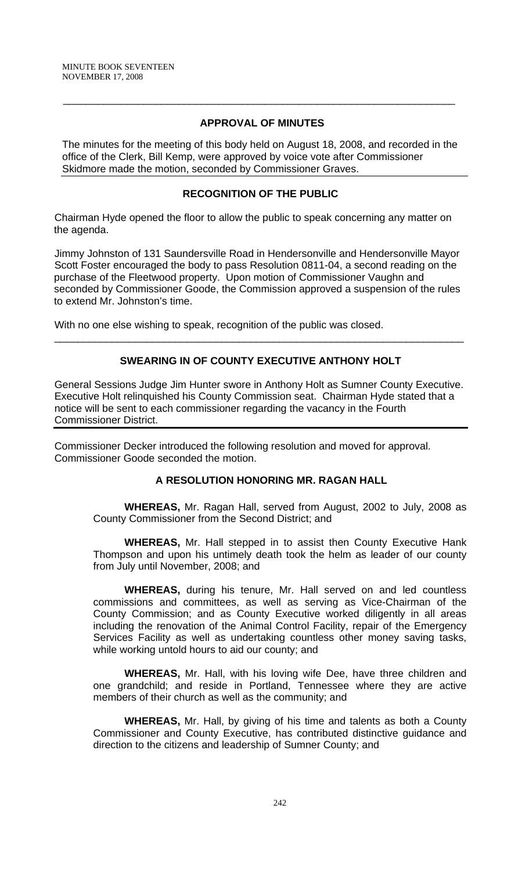## **APPROVAL OF MINUTES**

 $\overline{\phantom{a}}$  , and the contribution of the contribution of the contribution of the contribution of the contribution of the contribution of the contribution of the contribution of the contribution of the contribution of the

The minutes for the meeting of this body held on August 18, 2008, and recorded in the office of the Clerk, Bill Kemp, were approved by voice vote after Commissioner Skidmore made the motion, seconded by Commissioner Graves.

## **RECOGNITION OF THE PUBLIC**

Chairman Hyde opened the floor to allow the public to speak concerning any matter on the agenda.

Jimmy Johnston of 131 Saundersville Road in Hendersonville and Hendersonville Mayor Scott Foster encouraged the body to pass Resolution 0811-04, a second reading on the purchase of the Fleetwood property. Upon motion of Commissioner Vaughn and seconded by Commissioner Goode, the Commission approved a suspension of the rules to extend Mr. Johnston's time.

With no one else wishing to speak, recognition of the public was closed.

## **SWEARING IN OF COUNTY EXECUTIVE ANTHONY HOLT**

\_\_\_\_\_\_\_\_\_\_\_\_\_\_\_\_\_\_\_\_\_\_\_\_\_\_\_\_\_\_\_\_\_\_\_\_\_\_\_\_\_\_\_\_\_\_\_\_\_\_\_\_\_\_\_\_\_\_\_\_\_\_\_\_\_\_\_\_\_\_\_

General Sessions Judge Jim Hunter swore in Anthony Holt as Sumner County Executive. Executive Holt relinquished his County Commission seat. Chairman Hyde stated that a notice will be sent to each commissioner regarding the vacancy in the Fourth Commissioner District.

Commissioner Decker introduced the following resolution and moved for approval. Commissioner Goode seconded the motion.

## **A RESOLUTION HONORING MR. RAGAN HALL**

 **WHEREAS,** Mr. Ragan Hall, served from August, 2002 to July, 2008 as County Commissioner from the Second District; and

**WHEREAS,** Mr. Hall stepped in to assist then County Executive Hank Thompson and upon his untimely death took the helm as leader of our county from July until November, 2008; and

 **WHEREAS,** during his tenure, Mr. Hall served on and led countless commissions and committees, as well as serving as Vice-Chairman of the County Commission; and as County Executive worked diligently in all areas including the renovation of the Animal Control Facility, repair of the Emergency Services Facility as well as undertaking countless other money saving tasks, while working untold hours to aid our county; and

**WHEREAS,** Mr. Hall, with his loving wife Dee, have three children and one grandchild; and reside in Portland, Tennessee where they are active members of their church as well as the community; and

**WHEREAS,** Mr. Hall, by giving of his time and talents as both a County Commissioner and County Executive, has contributed distinctive guidance and direction to the citizens and leadership of Sumner County; and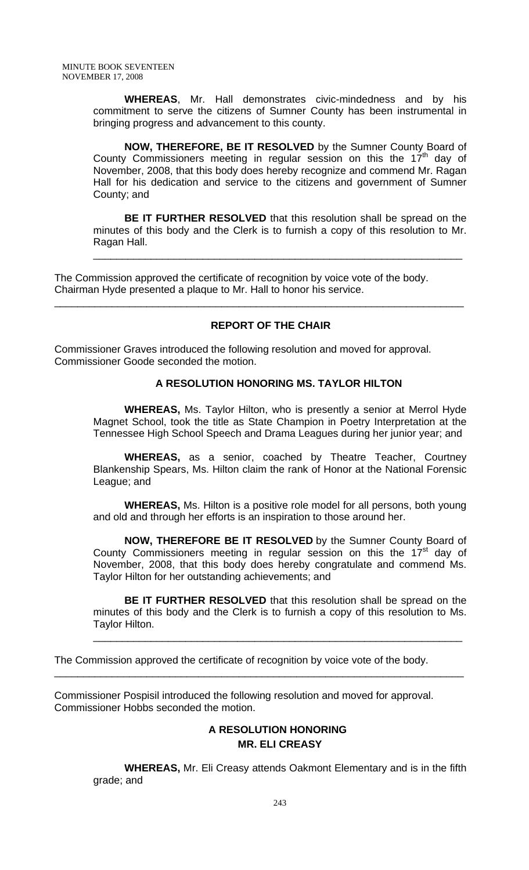**WHEREAS**, Mr. Hall demonstrates civic-mindedness and by his commitment to serve the citizens of Sumner County has been instrumental in bringing progress and advancement to this county.

**NOW, THEREFORE, BE IT RESOLVED** by the Sumner County Board of County Commissioners meeting in regular session on this the  $17<sup>th</sup>$  day of November, 2008, that this body does hereby recognize and commend Mr. Ragan Hall for his dedication and service to the citizens and government of Sumner County; and

**BE IT FURTHER RESOLVED** that this resolution shall be spread on the minutes of this body and the Clerk is to furnish a copy of this resolution to Mr. Ragan Hall.

\_\_\_\_\_\_\_\_\_\_\_\_\_\_\_\_\_\_\_\_\_\_\_\_\_\_\_\_\_\_\_\_\_\_\_\_\_\_\_\_\_\_\_\_\_\_\_\_\_\_\_\_\_\_\_\_\_\_\_\_\_\_\_\_

The Commission approved the certificate of recognition by voice vote of the body. Chairman Hyde presented a plaque to Mr. Hall to honor his service.

## **REPORT OF THE CHAIR**

\_\_\_\_\_\_\_\_\_\_\_\_\_\_\_\_\_\_\_\_\_\_\_\_\_\_\_\_\_\_\_\_\_\_\_\_\_\_\_\_\_\_\_\_\_\_\_\_\_\_\_\_\_\_\_\_\_\_\_\_\_\_\_\_\_\_\_\_\_\_\_

Commissioner Graves introduced the following resolution and moved for approval. Commissioner Goode seconded the motion.

## **A RESOLUTION HONORING MS. TAYLOR HILTON**

 **WHEREAS,** Ms. Taylor Hilton, who is presently a senior at Merrol Hyde Magnet School, took the title as State Champion in Poetry Interpretation at the Tennessee High School Speech and Drama Leagues during her junior year; and

**WHEREAS,** as a senior, coached by Theatre Teacher, Courtney Blankenship Spears, Ms. Hilton claim the rank of Honor at the National Forensic League; and

**WHEREAS,** Ms. Hilton is a positive role model for all persons, both young and old and through her efforts is an inspiration to those around her.

**NOW, THEREFORE BE IT RESOLVED** by the Sumner County Board of County Commissioners meeting in regular session on this the  $17<sup>st</sup>$  day of November, 2008, that this body does hereby congratulate and commend Ms. Taylor Hilton for her outstanding achievements; and

**BE IT FURTHER RESOLVED** that this resolution shall be spread on the minutes of this body and the Clerk is to furnish a copy of this resolution to Ms. Taylor Hilton.

\_\_\_\_\_\_\_\_\_\_\_\_\_\_\_\_\_\_\_\_\_\_\_\_\_\_\_\_\_\_\_\_\_\_\_\_\_\_\_\_\_\_\_\_\_\_\_\_\_\_\_\_\_\_\_\_\_\_\_\_\_\_\_\_

The Commission approved the certificate of recognition by voice vote of the body.

\_\_\_\_\_\_\_\_\_\_\_\_\_\_\_\_\_\_\_\_\_\_\_\_\_\_\_\_\_\_\_\_\_\_\_\_\_\_\_\_\_\_\_\_\_\_\_\_\_\_\_\_\_\_\_\_\_\_\_\_\_\_\_\_\_\_\_\_\_\_\_

Commissioner Pospisil introduced the following resolution and moved for approval. Commissioner Hobbs seconded the motion.

# **A RESOLUTION HONORING MR. ELI CREASY**

 **WHEREAS,** Mr. Eli Creasy attends Oakmont Elementary and is in the fifth grade; and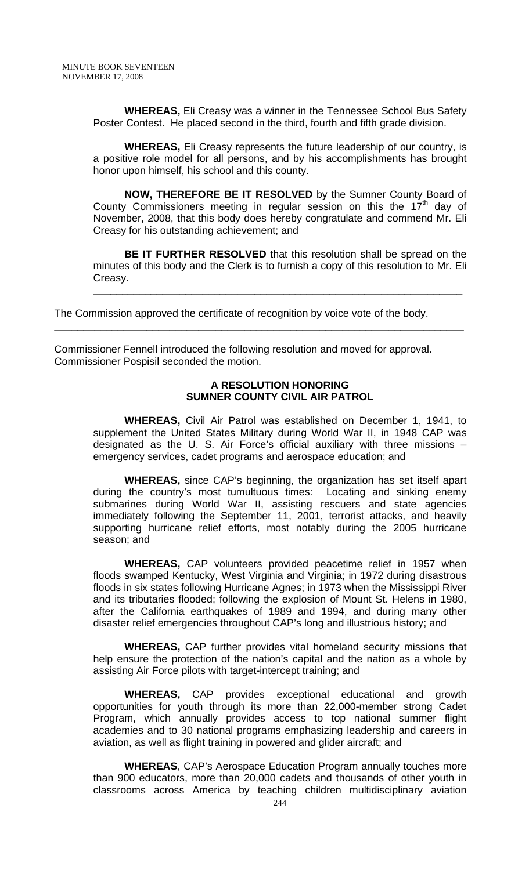**WHEREAS,** Eli Creasy was a winner in the Tennessee School Bus Safety Poster Contest. He placed second in the third, fourth and fifth grade division.

**WHEREAS,** Eli Creasy represents the future leadership of our country, is a positive role model for all persons, and by his accomplishments has brought honor upon himself, his school and this county.

**NOW, THEREFORE BE IT RESOLVED** by the Sumner County Board of County Commissioners meeting in regular session on this the  $17<sup>th</sup>$  day of November, 2008, that this body does hereby congratulate and commend Mr. Eli Creasy for his outstanding achievement; and

**BE IT FURTHER RESOLVED** that this resolution shall be spread on the minutes of this body and the Clerk is to furnish a copy of this resolution to Mr. Eli Creasy.

\_\_\_\_\_\_\_\_\_\_\_\_\_\_\_\_\_\_\_\_\_\_\_\_\_\_\_\_\_\_\_\_\_\_\_\_\_\_\_\_\_\_\_\_\_\_\_\_\_\_\_\_\_\_\_\_\_\_\_\_\_\_\_\_

The Commission approved the certificate of recognition by voice vote of the body.

\_\_\_\_\_\_\_\_\_\_\_\_\_\_\_\_\_\_\_\_\_\_\_\_\_\_\_\_\_\_\_\_\_\_\_\_\_\_\_\_\_\_\_\_\_\_\_\_\_\_\_\_\_\_\_\_\_\_\_\_\_\_\_\_\_\_\_\_\_\_\_

Commissioner Fennell introduced the following resolution and moved for approval. Commissioner Pospisil seconded the motion.

## **A RESOLUTION HONORING SUMNER COUNTY CIVIL AIR PATROL**

 **WHEREAS,** Civil Air Patrol was established on December 1, 1941, to supplement the United States Military during World War II, in 1948 CAP was designated as the U. S. Air Force's official auxiliary with three missions – emergency services, cadet programs and aerospace education; and

**WHEREAS,** since CAP's beginning, the organization has set itself apart during the country's most tumultuous times: Locating and sinking enemy submarines during World War II, assisting rescuers and state agencies immediately following the September 11, 2001, terrorist attacks, and heavily supporting hurricane relief efforts, most notably during the 2005 hurricane season; and

**WHEREAS,** CAP volunteers provided peacetime relief in 1957 when floods swamped Kentucky, West Virginia and Virginia; in 1972 during disastrous floods in six states following Hurricane Agnes; in 1973 when the Mississippi River and its tributaries flooded; following the explosion of Mount St. Helens in 1980, after the California earthquakes of 1989 and 1994, and during many other disaster relief emergencies throughout CAP's long and illustrious history; and

**WHEREAS,** CAP further provides vital homeland security missions that help ensure the protection of the nation's capital and the nation as a whole by assisting Air Force pilots with target-intercept training; and

**WHEREAS,** CAP provides exceptional educational and growth opportunities for youth through its more than 22,000-member strong Cadet Program, which annually provides access to top national summer flight academies and to 30 national programs emphasizing leadership and careers in aviation, as well as flight training in powered and glider aircraft; and

**WHEREAS**, CAP's Aerospace Education Program annually touches more than 900 educators, more than 20,000 cadets and thousands of other youth in classrooms across America by teaching children multidisciplinary aviation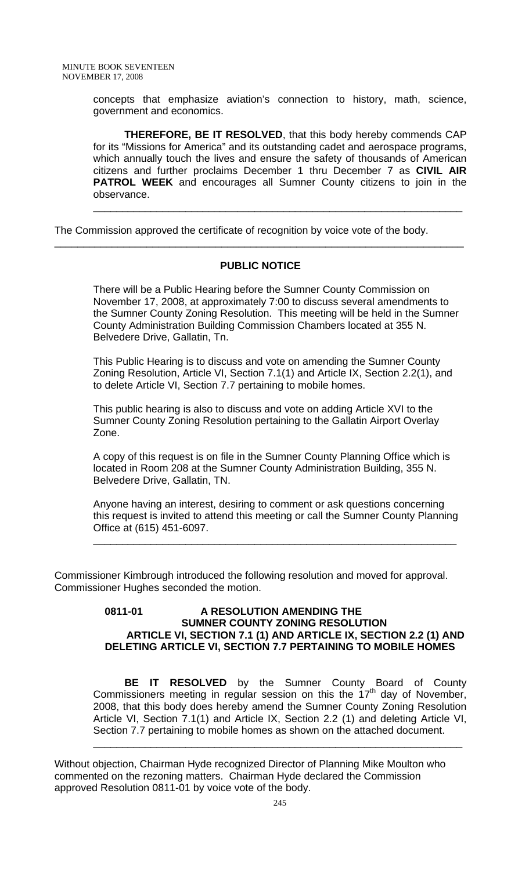concepts that emphasize aviation's connection to history, math, science, government and economics.

**THEREFORE, BE IT RESOLVED**, that this body hereby commends CAP for its "Missions for America" and its outstanding cadet and aerospace programs, which annually touch the lives and ensure the safety of thousands of American citizens and further proclaims December 1 thru December 7 as **CIVIL AIR PATROL WEEK** and encourages all Sumner County citizens to join in the observance.

\_\_\_\_\_\_\_\_\_\_\_\_\_\_\_\_\_\_\_\_\_\_\_\_\_\_\_\_\_\_\_\_\_\_\_\_\_\_\_\_\_\_\_\_\_\_\_\_\_\_\_\_\_\_\_\_\_\_\_\_\_\_\_\_

The Commission approved the certificate of recognition by voice vote of the body.

## **PUBLIC NOTICE**

\_\_\_\_\_\_\_\_\_\_\_\_\_\_\_\_\_\_\_\_\_\_\_\_\_\_\_\_\_\_\_\_\_\_\_\_\_\_\_\_\_\_\_\_\_\_\_\_\_\_\_\_\_\_\_\_\_\_\_\_\_\_\_\_\_\_\_\_\_\_\_

There will be a Public Hearing before the Sumner County Commission on November 17, 2008, at approximately 7:00 to discuss several amendments to the Sumner County Zoning Resolution. This meeting will be held in the Sumner County Administration Building Commission Chambers located at 355 N. Belvedere Drive, Gallatin, Tn.

This Public Hearing is to discuss and vote on amending the Sumner County Zoning Resolution, Article VI, Section 7.1(1) and Article IX, Section 2.2(1), and to delete Article VI, Section 7.7 pertaining to mobile homes.

This public hearing is also to discuss and vote on adding Article XVI to the Sumner County Zoning Resolution pertaining to the Gallatin Airport Overlay Zone.

A copy of this request is on file in the Sumner County Planning Office which is located in Room 208 at the Sumner County Administration Building, 355 N. Belvedere Drive, Gallatin, TN.

Anyone having an interest, desiring to comment or ask questions concerning this request is invited to attend this meeting or call the Sumner County Planning Office at (615) 451-6097.

\_\_\_\_\_\_\_\_\_\_\_\_\_\_\_\_\_\_\_\_\_\_\_\_\_\_\_\_\_\_\_\_\_\_\_\_\_\_\_\_\_\_\_\_\_\_\_\_\_\_\_\_\_\_\_\_\_\_\_\_\_\_\_

Commissioner Kimbrough introduced the following resolution and moved for approval. Commissioner Hughes seconded the motion.

#### **0811-01 A RESOLUTION AMENDING THE SUMNER COUNTY ZONING RESOLUTION ARTICLE VI, SECTION 7.1 (1) AND ARTICLE IX, SECTION 2.2 (1) AND DELETING ARTICLE VI, SECTION 7.7 PERTAINING TO MOBILE HOMES**

**BE IT RESOLVED** by the Sumner County Board of County Commissioners meeting in regular session on this the 17th day of November, 2008, that this body does hereby amend the Sumner County Zoning Resolution Article VI, Section 7.1(1) and Article IX, Section 2.2 (1) and deleting Article VI, Section 7.7 pertaining to mobile homes as shown on the attached document.

\_\_\_\_\_\_\_\_\_\_\_\_\_\_\_\_\_\_\_\_\_\_\_\_\_\_\_\_\_\_\_\_\_\_\_\_\_\_\_\_\_\_\_\_\_\_\_\_\_\_\_\_\_\_\_\_\_\_\_\_\_\_\_\_

Without objection, Chairman Hyde recognized Director of Planning Mike Moulton who commented on the rezoning matters. Chairman Hyde declared the Commission approved Resolution 0811-01 by voice vote of the body.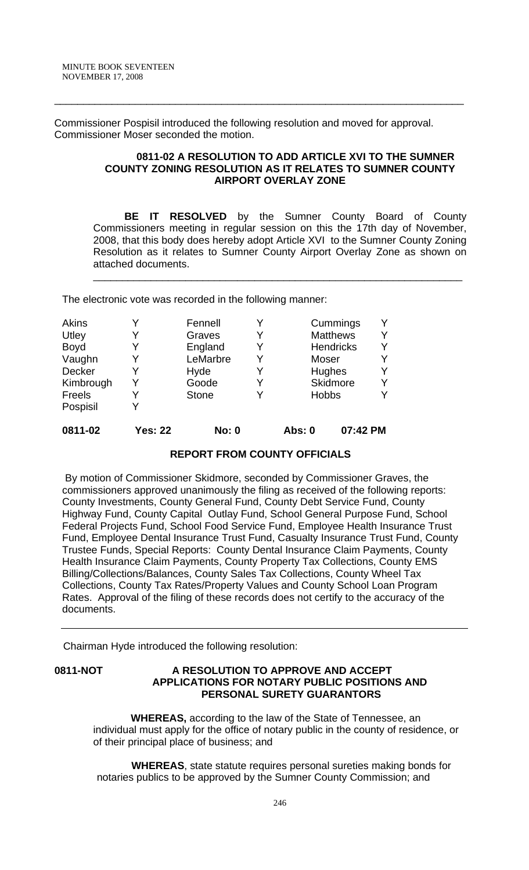Commissioner Pospisil introduced the following resolution and moved for approval. Commissioner Moser seconded the motion.

\_\_\_\_\_\_\_\_\_\_\_\_\_\_\_\_\_\_\_\_\_\_\_\_\_\_\_\_\_\_\_\_\_\_\_\_\_\_\_\_\_\_\_\_\_\_\_\_\_\_\_\_\_\_\_\_\_\_\_\_\_\_\_\_\_\_\_\_\_\_\_

## **0811-02 A RESOLUTION TO ADD ARTICLE XVI TO THE SUMNER COUNTY ZONING RESOLUTION AS IT RELATES TO SUMNER COUNTY AIRPORT OVERLAY ZONE**

**BE IT RESOLVED** by the Sumner County Board of County Commissioners meeting in regular session on this the 17th day of November, 2008, that this body does hereby adopt Article XVI to the Sumner County Zoning Resolution as it relates to Sumner County Airport Overlay Zone as shown on attached documents.

\_\_\_\_\_\_\_\_\_\_\_\_\_\_\_\_\_\_\_\_\_\_\_\_\_\_\_\_\_\_\_\_\_\_\_\_\_\_\_\_\_\_\_\_\_\_\_\_\_\_\_\_\_\_\_\_\_\_\_\_\_\_\_\_

The electronic vote was recorded in the following manner:

| Akins     |                | Fennell      |   |              | Cummings         |  |
|-----------|----------------|--------------|---|--------------|------------------|--|
| Utley     | Y              | Graves       | Y |              | <b>Matthews</b>  |  |
| Boyd      | Y              | England      | Y |              | <b>Hendricks</b> |  |
| Vaughn    | Y              | LeMarbre     | Y | Moser        |                  |  |
| Decker    | Y              | Hyde         |   |              | Hughes           |  |
| Kimbrough | Y              | Goode        | Y |              | <b>Skidmore</b>  |  |
| Freels    | Y              | <b>Stone</b> | v | <b>Hobbs</b> |                  |  |
| Pospisil  |                |              |   |              |                  |  |
| 0811-02   | <b>Yes: 22</b> | <b>No: 0</b> |   | Abs: 0       | 07:42 PM         |  |

## **REPORT FROM COUNTY OFFICIALS**

 By motion of Commissioner Skidmore, seconded by Commissioner Graves, the commissioners approved unanimously the filing as received of the following reports: County Investments, County General Fund, County Debt Service Fund, County Highway Fund, County Capital Outlay Fund, School General Purpose Fund, School Federal Projects Fund, School Food Service Fund, Employee Health Insurance Trust Fund, Employee Dental Insurance Trust Fund, Casualty Insurance Trust Fund, County Trustee Funds, Special Reports: County Dental Insurance Claim Payments, County Health Insurance Claim Payments, County Property Tax Collections, County EMS Billing/Collections/Balances, County Sales Tax Collections, County Wheel Tax Collections, County Tax Rates/Property Values and County School Loan Program Rates. Approval of the filing of these records does not certify to the accuracy of the documents.

Chairman Hyde introduced the following resolution:

## **0811-NOT A RESOLUTION TO APPROVE AND ACCEPT APPLICATIONS FOR NOTARY PUBLIC POSITIONS AND PERSONAL SURETY GUARANTORS**

 **WHEREAS,** according to the law of the State of Tennessee, an individual must apply for the office of notary public in the county of residence, or of their principal place of business; and

 **WHEREAS**, state statute requires personal sureties making bonds for notaries publics to be approved by the Sumner County Commission; and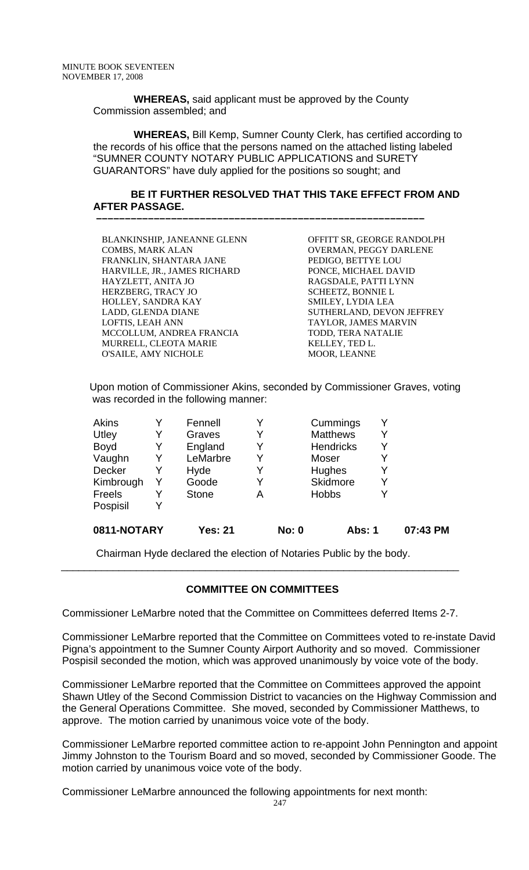**WHEREAS,** said applicant must be approved by the County Commission assembled; and

 **–––––––––––––––––––––––––––––––––––––––––––––––––––––––––**

 **WHEREAS,** Bill Kemp, Sumner County Clerk, has certified according to the records of his office that the persons named on the attached listing labeled "SUMNER COUNTY NOTARY PUBLIC APPLICATIONS and SURETY GUARANTORS" have duly applied for the positions so sought; and

## **BE IT FURTHER RESOLVED THAT THIS TAKE EFFECT FROM AND AFTER PASSAGE.**

| BLANKINSHIP, JANEANNE GLENN  | OFFITT SR, GEORGE RANDOLPH |
|------------------------------|----------------------------|
| <b>COMBS, MARK ALAN</b>      | OVERMAN, PEGGY DARLENE     |
| FRANKLIN, SHANTARA JANE      | PEDIGO, BETTYE LOU         |
| HARVILLE, JR., JAMES RICHARD | PONCE, MICHAEL DAVID       |
| HAYZLETT, ANITA JO           | RAGSDALE, PATTI LYNN       |
| HERZBERG, TRACY JO           | <b>SCHEETZ, BONNIE L</b>   |
| HOLLEY, SANDRA KAY           | SMILEY, LYDIA LEA          |
| LADD, GLENDA DIANE           | SUTHERLAND, DEVON JEFFREY  |
| LOFTIS, LEAH ANN             | TAYLOR, JAMES MARVIN       |
| MCCOLLUM, ANDREA FRANCIA     | TODD, TERA NATALIE         |
| MURRELL, CLEOTA MARIE        | KELLEY, TED L.             |
| <b>O'SAILE, AMY NICHOLE</b>  | <b>MOOR, LEANNE</b>        |
|                              |                            |

Upon motion of Commissioner Akins, seconded by Commissioner Graves, voting was recorded in the following manner:

| 0811-NOTARY |   | Yes: 21      |   | <b>No: 0</b> | Abs: 1           | 07:43 PM |
|-------------|---|--------------|---|--------------|------------------|----------|
| Pospisil    |   |              |   |              |                  |          |
| Freels      |   | <b>Stone</b> | А |              | <b>Hobbs</b>     |          |
| Kimbrough   | Y | Goode        |   |              | <b>Skidmore</b>  |          |
| Decker      |   | Hyde         |   |              | Hughes           |          |
| Vaughn      | Y | LeMarbre     |   |              | Moser            |          |
| <b>Boyd</b> | Y | England      |   |              | <b>Hendricks</b> |          |
| Utley       | Y | Graves       |   |              | <b>Matthews</b>  |          |
| Akins       |   | Fennell      |   |              | Cummings         |          |

Chairman Hyde declared the election of Notaries Public by the body.

## **COMMITTEE ON COMMITTEES**

\_\_\_\_\_\_\_\_\_\_\_\_\_\_\_\_\_\_\_\_\_\_\_\_\_\_\_\_\_\_\_\_\_\_\_\_\_\_\_\_\_\_\_\_\_\_\_\_\_\_\_\_\_\_\_\_\_\_\_\_\_\_\_\_\_\_\_\_\_

Commissioner LeMarbre noted that the Committee on Committees deferred Items 2-7.

Commissioner LeMarbre reported that the Committee on Committees voted to re-instate David Pigna's appointment to the Sumner County Airport Authority and so moved. Commissioner Pospisil seconded the motion, which was approved unanimously by voice vote of the body.

Commissioner LeMarbre reported that the Committee on Committees approved the appoint Shawn Utley of the Second Commission District to vacancies on the Highway Commission and the General Operations Committee. She moved, seconded by Commissioner Matthews, to approve. The motion carried by unanimous voice vote of the body.

Commissioner LeMarbre reported committee action to re-appoint John Pennington and appoint Jimmy Johnston to the Tourism Board and so moved, seconded by Commissioner Goode. The motion carried by unanimous voice vote of the body.

Commissioner LeMarbre announced the following appointments for next month: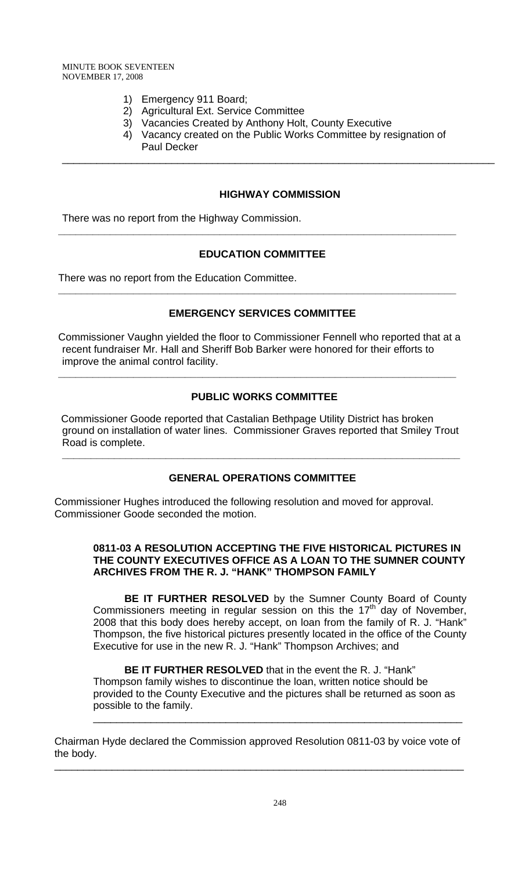- 1) Emergency 911 Board;
- 2) Agricultural Ext. Service Committee
- 3) Vacancies Created by Anthony Holt, County Executive
- 4) Vacancy created on the Public Works Committee by resignation of Paul Decker

## **HIGHWAY COMMISSION**

\_\_\_\_\_\_\_\_\_\_\_\_\_\_\_\_\_\_\_\_\_\_\_\_\_\_\_\_\_\_\_\_\_\_\_\_\_\_\_\_\_\_\_\_\_\_\_\_\_\_\_\_\_\_\_\_\_\_\_\_\_\_\_\_\_\_\_\_\_\_\_\_\_\_\_

There was no report from the Highway Commission.

## **EDUCATION COMMITTEE**

**\_\_\_\_\_\_\_\_\_\_\_\_\_\_\_\_\_\_\_\_\_\_\_\_\_\_\_\_\_\_\_\_\_\_\_\_\_\_\_\_\_\_\_\_\_\_\_\_\_\_\_\_\_\_\_\_\_\_\_\_\_\_\_\_\_\_\_\_\_** 

There was no report from the Education Committee.

## **EMERGENCY SERVICES COMMITTEE**

**\_\_\_\_\_\_\_\_\_\_\_\_\_\_\_\_\_\_\_\_\_\_\_\_\_\_\_\_\_\_\_\_\_\_\_\_\_\_\_\_\_\_\_\_\_\_\_\_\_\_\_\_\_\_\_\_\_\_\_\_\_\_\_\_\_\_\_\_\_** 

Commissioner Vaughn yielded the floor to Commissioner Fennell who reported that at a recent fundraiser Mr. Hall and Sheriff Bob Barker were honored for their efforts to improve the animal control facility.

**\_\_\_\_\_\_\_\_\_\_\_\_\_\_\_\_\_\_\_\_\_\_\_\_\_\_\_\_\_\_\_\_\_\_\_\_\_\_\_\_\_\_\_\_\_\_\_\_\_\_\_\_\_\_\_\_\_\_\_\_\_\_\_\_\_\_\_\_\_** 

## **PUBLIC WORKS COMMITTEE**

 Commissioner Goode reported that Castalian Bethpage Utility District has broken ground on installation of water lines. Commissioner Graves reported that Smiley Trout Road is complete.

## **GENERAL OPERATIONS COMMITTEE**

**\_\_\_\_\_\_\_\_\_\_\_\_\_\_\_\_\_\_\_\_\_\_\_\_\_\_\_\_\_\_\_\_\_\_\_\_\_\_\_\_\_\_\_\_\_\_\_\_\_\_\_\_\_\_\_\_\_\_\_\_\_\_\_\_\_\_\_\_\_** 

Commissioner Hughes introduced the following resolution and moved for approval. Commissioner Goode seconded the motion.

## **0811-03 A RESOLUTION ACCEPTING THE FIVE HISTORICAL PICTURES IN THE COUNTY EXECUTIVES OFFICE AS A LOAN TO THE SUMNER COUNTY ARCHIVES FROM THE R. J. "HANK" THOMPSON FAMILY**

**BE IT FURTHER RESOLVED** by the Sumner County Board of County Commissioners meeting in regular session on this the  $17<sup>th</sup>$  day of November, 2008 that this body does hereby accept, on loan from the family of R. J. "Hank" Thompson, the five historical pictures presently located in the office of the County Executive for use in the new R. J. "Hank" Thompson Archives; and

**BE IT FURTHER RESOLVED** that in the event the R. J. "Hank" Thompson family wishes to discontinue the loan, written notice should be provided to the County Executive and the pictures shall be returned as soon as possible to the family.

\_\_\_\_\_\_\_\_\_\_\_\_\_\_\_\_\_\_\_\_\_\_\_\_\_\_\_\_\_\_\_\_\_\_\_\_\_\_\_\_\_\_\_\_\_\_\_\_\_\_\_\_\_\_\_\_\_\_\_\_\_\_\_\_

Chairman Hyde declared the Commission approved Resolution 0811-03 by voice vote of the body.

\_\_\_\_\_\_\_\_\_\_\_\_\_\_\_\_\_\_\_\_\_\_\_\_\_\_\_\_\_\_\_\_\_\_\_\_\_\_\_\_\_\_\_\_\_\_\_\_\_\_\_\_\_\_\_\_\_\_\_\_\_\_\_\_\_\_\_\_\_\_\_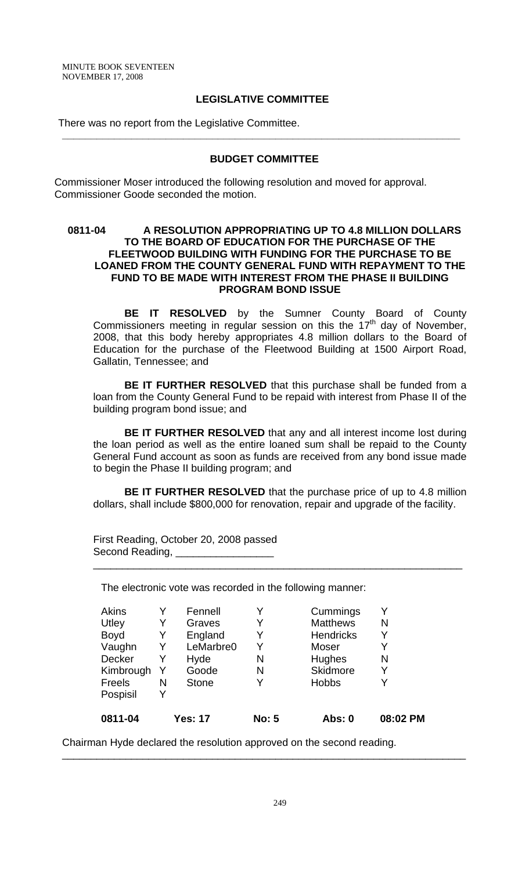MINUTE BOOK SEVENTEEN NOVEMBER 17, 2008

## **LEGISLATIVE COMMITTEE**

There was no report from the Legislative Committee.

#### **BUDGET COMMITTEE**

**\_\_\_\_\_\_\_\_\_\_\_\_\_\_\_\_\_\_\_\_\_\_\_\_\_\_\_\_\_\_\_\_\_\_\_\_\_\_\_\_\_\_\_\_\_\_\_\_\_\_\_\_\_\_\_\_\_\_\_\_\_\_\_\_\_\_\_\_\_**

Commissioner Moser introduced the following resolution and moved for approval. Commissioner Goode seconded the motion.

## **0811-04 A RESOLUTION APPROPRIATING UP TO 4.8 MILLION DOLLARS TO THE BOARD OF EDUCATION FOR THE PURCHASE OF THE FLEETWOOD BUILDING WITH FUNDING FOR THE PURCHASE TO BE LOANED FROM THE COUNTY GENERAL FUND WITH REPAYMENT TO THE FUND TO BE MADE WITH INTEREST FROM THE PHASE II BUILDING PROGRAM BOND ISSUE**

**BE IT RESOLVED** by the Sumner County Board of County Commissioners meeting in regular session on this the  $17<sup>th</sup>$  day of November, 2008, that this body hereby appropriates 4.8 million dollars to the Board of Education for the purchase of the Fleetwood Building at 1500 Airport Road, Gallatin, Tennessee; and

**BE IT FURTHER RESOLVED** that this purchase shall be funded from a loan from the County General Fund to be repaid with interest from Phase II of the building program bond issue; and

**BE IT FURTHER RESOLVED** that any and all interest income lost during the loan period as well as the entire loaned sum shall be repaid to the County General Fund account as soon as funds are received from any bond issue made to begin the Phase II building program; and

**BE IT FURTHER RESOLVED** that the purchase price of up to 4.8 million dollars, shall include \$800,000 for renovation, repair and upgrade of the facility.

\_\_\_\_\_\_\_\_\_\_\_\_\_\_\_\_\_\_\_\_\_\_\_\_\_\_\_\_\_\_\_\_\_\_\_\_\_\_\_\_\_\_\_\_\_\_\_\_\_\_\_\_\_\_\_\_\_\_\_\_\_\_\_\_

First Reading, October 20, 2008 passed Second Reading, \_\_\_\_\_\_\_\_\_\_

The electronic vote was recorded in the following manner:

|    |           |   |                  | 08:02 PM                                 |
|----|-----------|---|------------------|------------------------------------------|
| Y  |           |   |                  |                                          |
| N  | Stone     | Y | <b>Hobbs</b>     |                                          |
| Y. | Goode     | N | <b>Skidmore</b>  | Y                                        |
| Y  | Hyde      | N | Hughes           | N                                        |
| Y  | LeMarbre0 | Y | Moser            | Y                                        |
| Y  | England   | Y | <b>Hendricks</b> | Y                                        |
| Y  | Graves    | Y | <b>Matthews</b>  | N                                        |
| Y  | Fennell   |   | Cummings         | v                                        |
|    |           |   |                  | <b>No: 5</b><br><b>Yes: 17</b><br>Abs: 0 |

\_\_\_\_\_\_\_\_\_\_\_\_\_\_\_\_\_\_\_\_\_\_\_\_\_\_\_\_\_\_\_\_\_\_\_\_\_\_\_\_\_\_\_\_\_\_\_\_\_\_\_\_\_\_\_\_\_\_\_\_\_\_\_\_\_\_\_\_\_\_

Chairman Hyde declared the resolution approved on the second reading.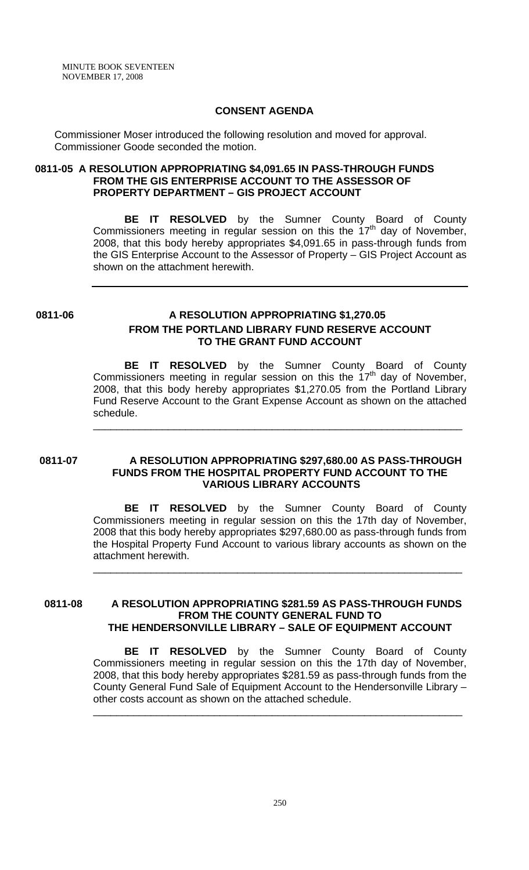MINUTE BOOK SEVENTEEN NOVEMBER 17, 2008

#### **CONSENT AGENDA**

Commissioner Moser introduced the following resolution and moved for approval. Commissioner Goode seconded the motion.

## **0811-05 A RESOLUTION APPROPRIATING \$4,091.65 IN PASS-THROUGH FUNDS FROM THE GIS ENTERPRISE ACCOUNT TO THE ASSESSOR OF PROPERTY DEPARTMENT – GIS PROJECT ACCOUNT**

**BE IT RESOLVED** by the Sumner County Board of County Commissioners meeting in regular session on this the  $17<sup>th</sup>$  day of November, 2008, that this body hereby appropriates \$4,091.65 in pass-through funds from the GIS Enterprise Account to the Assessor of Property – GIS Project Account as shown on the attachment herewith.

## **0811-06 A RESOLUTION APPROPRIATING \$1,270.05 FROM THE PORTLAND LIBRARY FUND RESERVE ACCOUNT TO THE GRANT FUND ACCOUNT**

 **BE IT RESOLVED** by the Sumner County Board of County Commissioners meeting in regular session on this the  $17<sup>th</sup>$  day of November, 2008, that this body hereby appropriates \$1,270.05 from the Portland Library Fund Reserve Account to the Grant Expense Account as shown on the attached schedule.

\_\_\_\_\_\_\_\_\_\_\_\_\_\_\_\_\_\_\_\_\_\_\_\_\_\_\_\_\_\_\_\_\_\_\_\_\_\_\_\_\_\_\_\_\_\_\_\_\_\_\_\_\_\_\_\_\_\_\_\_\_\_\_\_

#### **0811-07 A RESOLUTION APPROPRIATING \$297,680.00 AS PASS-THROUGH FUNDS FROM THE HOSPITAL PROPERTY FUND ACCOUNT TO THE VARIOUS LIBRARY ACCOUNTS**

 **BE IT RESOLVED** by the Sumner County Board of County Commissioners meeting in regular session on this the 17th day of November, 2008 that this body hereby appropriates \$297,680.00 as pass-through funds from the Hospital Property Fund Account to various library accounts as shown on the attachment herewith.

\_\_\_\_\_\_\_\_\_\_\_\_\_\_\_\_\_\_\_\_\_\_\_\_\_\_\_\_\_\_\_\_\_\_\_\_\_\_\_\_\_\_\_\_\_\_\_\_\_\_\_\_\_\_\_\_\_\_\_\_\_\_\_\_

 **0811-08 A RESOLUTION APPROPRIATING \$281.59 AS PASS-THROUGH FUNDS FROM THE COUNTY GENERAL FUND TO THE HENDERSONVILLE LIBRARY – SALE OF EQUIPMENT ACCOUNT** 

> **BE IT RESOLVED** by the Sumner County Board of County Commissioners meeting in regular session on this the 17th day of November, 2008, that this body hereby appropriates \$281.59 as pass-through funds from the County General Fund Sale of Equipment Account to the Hendersonville Library – other costs account as shown on the attached schedule.

\_\_\_\_\_\_\_\_\_\_\_\_\_\_\_\_\_\_\_\_\_\_\_\_\_\_\_\_\_\_\_\_\_\_\_\_\_\_\_\_\_\_\_\_\_\_\_\_\_\_\_\_\_\_\_\_\_\_\_\_\_\_\_\_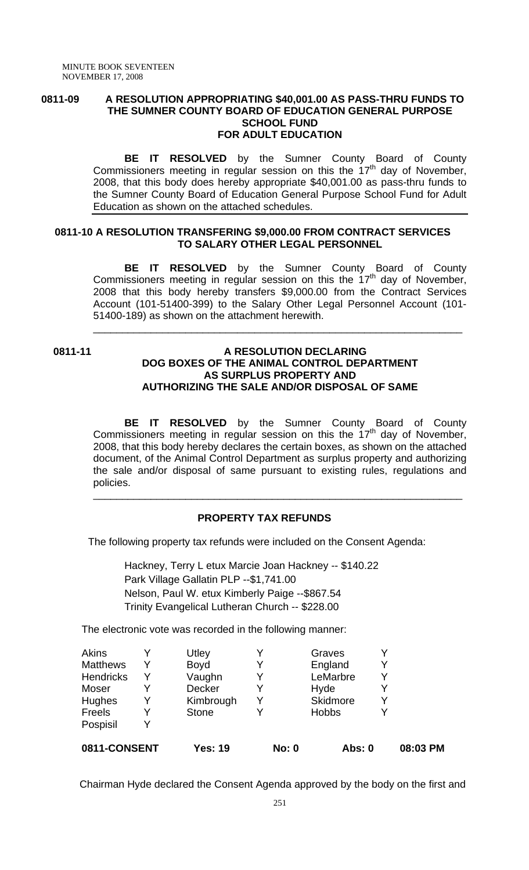#### **0811-09 A RESOLUTION APPROPRIATING \$40,001.00 AS PASS-THRU FUNDS TO THE SUMNER COUNTY BOARD OF EDUCATION GENERAL PURPOSE SCHOOL FUND FOR ADULT EDUCATION**

**BE IT RESOLVED** by the Sumner County Board of County Commissioners meeting in regular session on this the  $17<sup>th</sup>$  day of November, 2008, that this body does hereby appropriate \$40,001.00 as pass-thru funds to the Sumner County Board of Education General Purpose School Fund for Adult Education as shown on the attached schedules.

## **0811-10 A RESOLUTION TRANSFERING \$9,000.00 FROM CONTRACT SERVICES TO SALARY OTHER LEGAL PERSONNEL**

**BE IT RESOLVED** by the Sumner County Board of County Commissioners meeting in regular session on this the  $17<sup>th</sup>$  day of November, 2008 that this body hereby transfers \$9,000.00 from the Contract Services Account (101-51400-399) to the Salary Other Legal Personnel Account (101- 51400-189) as shown on the attachment herewith.

\_\_\_\_\_\_\_\_\_\_\_\_\_\_\_\_\_\_\_\_\_\_\_\_\_\_\_\_\_\_\_\_\_\_\_\_\_\_\_\_\_\_\_\_\_\_\_\_\_\_\_\_\_\_\_\_\_\_\_\_\_\_\_\_

#### **0811-11 A RESOLUTION DECLARING DOG BOXES OF THE ANIMAL CONTROL DEPARTMENT AS SURPLUS PROPERTY AND AUTHORIZING THE SALE AND/OR DISPOSAL OF SAME**

**BE IT RESOLVED** by the Sumner County Board of County Commissioners meeting in regular session on this the  $17<sup>th</sup>$  day of November, 2008, that this body hereby declares the certain boxes, as shown on the attached document, of the Animal Control Department as surplus property and authorizing the sale and/or disposal of same pursuant to existing rules, regulations and policies.

\_\_\_\_\_\_\_\_\_\_\_\_\_\_\_\_\_\_\_\_\_\_\_\_\_\_\_\_\_\_\_\_\_\_\_\_\_\_\_\_\_\_\_\_\_\_\_\_\_\_\_\_\_\_\_\_\_\_\_\_\_\_\_\_

## **PROPERTY TAX REFUNDS**

The following property tax refunds were included on the Consent Agenda:

Hackney, Terry L etux Marcie Joan Hackney -- \$140.22 Park Village Gallatin PLP --\$1,741.00 Nelson, Paul W. etux Kimberly Paige --\$867.54 Trinity Evangelical Lutheran Church -- \$228.00

The electronic vote was recorded in the following manner:

| 0811-CONSENT     |   | <b>Yes: 19</b> | <b>No: 0</b> | Abs: 0       |   | 08:03 PM |
|------------------|---|----------------|--------------|--------------|---|----------|
| Pospisil         |   |                |              |              |   |          |
| Freels           |   | <b>Stone</b>   |              | <b>Hobbs</b> |   |          |
| Hughes           | Y | Kimbrough      |              | Skidmore     | v |          |
| Moser            |   | <b>Decker</b>  |              | Hyde         |   |          |
| <b>Hendricks</b> |   | Vaughn         |              | LeMarbre     |   |          |
| <b>Matthews</b>  |   | <b>Boyd</b>    |              | England      |   |          |
| Akins            |   | Utley          |              | Graves       |   |          |

Chairman Hyde declared the Consent Agenda approved by the body on the first and